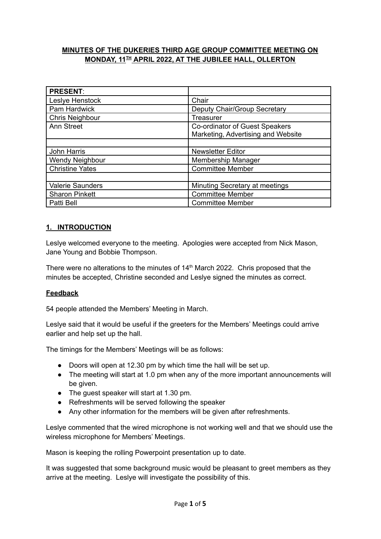# **MINUTES OF THE DUKERIES THIRD AGE GROUP COMMITTEE MEETING ON MONDAY, 11 TH APRIL 2022, AT THE JUBILEE HALL, OLLERTON**

| <b>PRESENT:</b>         |                                    |
|-------------------------|------------------------------------|
| Leslye Henstock         | Chair                              |
| Pam Hardwick            | Deputy Chair/Group Secretary       |
| Chris Neighbour         | Treasurer                          |
| Ann Street              | Co-ordinator of Guest Speakers     |
|                         | Marketing, Advertising and Website |
|                         |                                    |
| John Harris             | <b>Newsletter Editor</b>           |
| <b>Wendy Neighbour</b>  | Membership Manager                 |
| <b>Christine Yates</b>  | <b>Committee Member</b>            |
|                         |                                    |
| <b>Valerie Saunders</b> | Minuting Secretary at meetings     |
| <b>Sharon Pinkett</b>   | <b>Committee Member</b>            |
| Patti Bell              | <b>Committee Member</b>            |

# **1. INTRODUCTION**

Leslye welcomed everyone to the meeting. Apologies were accepted from Nick Mason, Jane Young and Bobbie Thompson.

There were no alterations to the minutes of  $14<sup>th</sup>$  March 2022. Chris proposed that the minutes be accepted, Christine seconded and Leslye signed the minutes as correct.

# **Feedback**

54 people attended the Members' Meeting in March.

Leslye said that it would be useful if the greeters for the Members' Meetings could arrive earlier and help set up the hall.

The timings for the Members' Meetings will be as follows:

- Doors will open at 12.30 pm by which time the hall will be set up.
- The meeting will start at 1.0 pm when any of the more important announcements will be given.
- The guest speaker will start at 1.30 pm.
- Refreshments will be served following the speaker
- Any other information for the members will be given after refreshments.

Leslye commented that the wired microphone is not working well and that we should use the wireless microphone for Members' Meetings.

Mason is keeping the rolling Powerpoint presentation up to date.

It was suggested that some background music would be pleasant to greet members as they arrive at the meeting. Leslye will investigate the possibility of this.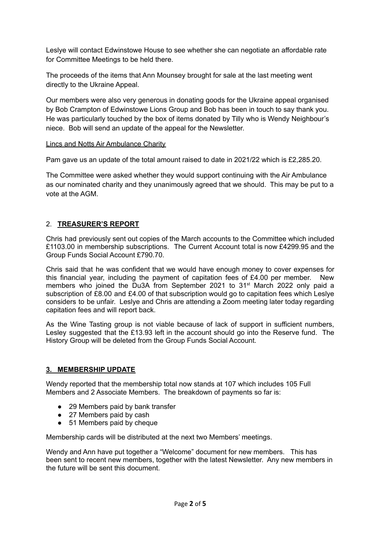Leslye will contact Edwinstowe House to see whether she can negotiate an affordable rate for Committee Meetings to be held there.

The proceeds of the items that Ann Mounsey brought for sale at the last meeting went directly to the Ukraine Appeal.

Our members were also very generous in donating goods for the Ukraine appeal organised by Bob Crampton of Edwinstowe Lions Group and Bob has been in touch to say thank you. He was particularly touched by the box of items donated by Tilly who is Wendy Neighbour's niece. Bob will send an update of the appeal for the Newsletter.

#### Lincs and Notts Air Ambulance Charity

Pam gave us an update of the total amount raised to date in 2021/22 which is £2,285.20.

The Committee were asked whether they would support continuing with the Air Ambulance as our nominated charity and they unanimously agreed that we should. This may be put to a vote at the AGM.

## 2. **TREASURER'S REPORT**

Chris had previously sent out copies of the March accounts to the Committee which included £1103.00 in membership subscriptions. The Current Account total is now £4299.95 and the Group Funds Social Account £790.70.

Chris said that he was confident that we would have enough money to cover expenses for this financial year, including the payment of capitation fees of £4.00 per member. New members who joined the Du3A from September 2021 to 31<sup>st</sup> March 2022 only paid a subscription of £8.00 and £4.00 of that subscription would go to capitation fees which Leslye considers to be unfair. Leslye and Chris are attending a Zoom meeting later today regarding capitation fees and will report back.

As the Wine Tasting group is not viable because of lack of support in sufficient numbers, Lesley suggested that the £13.93 left in the account should go into the Reserve fund. The History Group will be deleted from the Group Funds Social Account.

#### **3. MEMBERSHIP UPDATE**

Wendy reported that the membership total now stands at 107 which includes 105 Full Members and 2 Associate Members. The breakdown of payments so far is:

- 29 Members paid by bank transfer
- 27 Members paid by cash
- 51 Members paid by cheque

Membership cards will be distributed at the next two Members' meetings.

Wendy and Ann have put together a "Welcome" document for new members. This has been sent to recent new members, together with the latest Newsletter. Any new members in the future will be sent this document.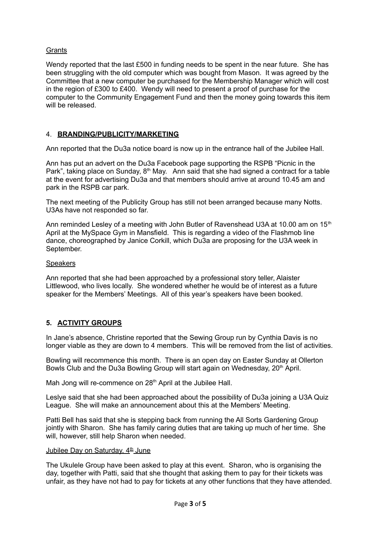## **Grants**

Wendy reported that the last £500 in funding needs to be spent in the near future. She has been struggling with the old computer which was bought from Mason. It was agreed by the Committee that a new computer be purchased for the Membership Manager which will cost in the region of £300 to £400. Wendy will need to present a proof of purchase for the computer to the Community Engagement Fund and then the money going towards this item will be released.

## 4. **BRANDING/PUBLICITY/MARKETING**

Ann reported that the Du3a notice board is now up in the entrance hall of the Jubilee Hall.

Ann has put an advert on the Du3a Facebook page supporting the RSPB "Picnic in the Park", taking place on Sunday, 8<sup>th</sup> May. Ann said that she had signed a contract for a table at the event for advertising Du3a and that members should arrive at around 10.45 am and park in the RSPB car park.

The next meeting of the Publicity Group has still not been arranged because many Notts. U3As have not responded so far.

Ann reminded Lesley of a meeting with John Butler of Ravenshead U3A at 10.00 am on 15<sup>th</sup> April at the MySpace Gym in Mansfield. This is regarding a video of the Flashmob line dance, choreographed by Janice Corkill, which Du3a are proposing for the U3A week in September.

#### **Speakers**

Ann reported that she had been approached by a professional story teller, Alaister Littlewood, who lives locally. She wondered whether he would be of interest as a future speaker for the Members' Meetings. All of this year's speakers have been booked.

# **5. ACTIVITY GROUPS**

In Jane's absence, Christine reported that the Sewing Group run by Cynthia Davis is no longer viable as they are down to 4 members. This will be removed from the list of activities.

Bowling will recommence this month. There is an open day on Easter Sunday at Ollerton Bowls Club and the Du3a Bowling Group will start again on Wednesday, 20<sup>th</sup> April.

Mah Jong will re-commence on 28<sup>th</sup> April at the Jubilee Hall.

Leslye said that she had been approached about the possibility of Du3a joining a U3A Quiz League. She will make an announcement about this at the Members' Meeting.

Patti Bell has said that she is stepping back from running the All Sorts Gardening Group jointly with Sharon. She has family caring duties that are taking up much of her time. She will, however, still help Sharon when needed.

#### Jubilee Day on Saturday, 4<sup>th</sup> June

The Ukulele Group have been asked to play at this event. Sharon, who is organising the day, together with Patti, said that she thought that asking them to pay for their tickets was unfair, as they have not had to pay for tickets at any other functions that they have attended.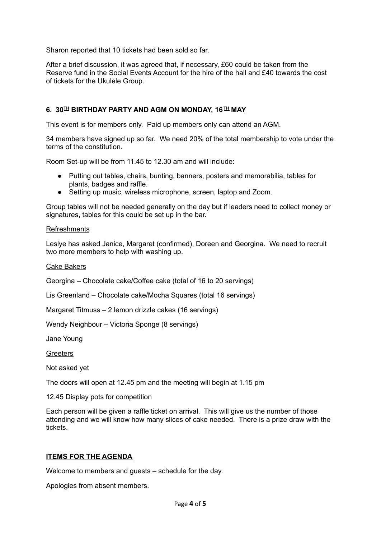Sharon reported that 10 tickets had been sold so far.

After a brief discussion, it was agreed that, if necessary, £60 could be taken from the Reserve fund in the Social Events Account for the hire of the hall and £40 towards the cost of tickets for the Ukulele Group.

## $6.$   $30^{\text{H}}$  BIRTHDAY PARTY AND AGM ON MONDAY, 16  $^{\text{H}}$  MAY

This event is for members only. Paid up members only can attend an AGM.

34 members have signed up so far. We need 20% of the total membership to vote under the terms of the constitution.

Room Set-up will be from 11.45 to 12.30 am and will include:

- Putting out tables, chairs, bunting, banners, posters and memorabilia, tables for plants, badges and raffle.
- Setting up music, wireless microphone, screen, laptop and Zoom.

Group tables will not be needed generally on the day but if leaders need to collect money or signatures, tables for this could be set up in the bar.

#### Refreshments

Leslye has asked Janice, Margaret (confirmed), Doreen and Georgina. We need to recruit two more members to help with washing up.

#### Cake Bakers

Georgina – Chocolate cake/Coffee cake (total of 16 to 20 servings)

Lis Greenland – Chocolate cake/Mocha Squares (total 16 servings)

Margaret Titmuss – 2 lemon drizzle cakes (16 servings)

Wendy Neighbour – Victoria Sponge (8 servings)

Jane Young

**Greeters** 

Not asked yet

The doors will open at 12.45 pm and the meeting will begin at 1.15 pm

12.45 Display pots for competition

Each person will be given a raffle ticket on arrival. This will give us the number of those attending and we will know how many slices of cake needed. There is a prize draw with the tickets.

#### **ITEMS FOR THE AGENDA**

Welcome to members and guests – schedule for the day.

Apologies from absent members.